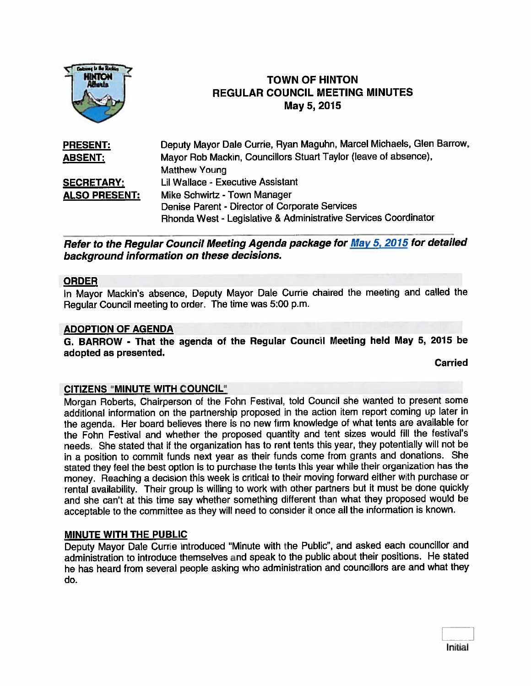

# **TOWN OF HINTON** REGULAR COUNCIL MEETING MINUTES May 5,2015

| <b>PRESENT:</b>      | Deputy Mayor Dale Currie, Ryan Maguhn, Marcel Michaels, Glen Barrow, |
|----------------------|----------------------------------------------------------------------|
| <b>ABSENT:</b>       | Mayor Rob Mackin, Councillors Stuart Taylor (leave of absence),      |
|                      | <b>Matthew Young</b>                                                 |
| <b>SECRETARY:</b>    | Lil Wallace - Executive Assistant                                    |
| <b>ALSO PRESENT:</b> | Mike Schwirtz - Town Manager                                         |
|                      | Denise Parent - Director of Corporate Services                       |
|                      | Rhonda West - Legislative & Administrative Services Coordinator      |

Refer to the Regular Council Meeting Agenda package for May 5. <sup>2015</sup> for detailed background information on these decisions.

#### ORDER

In Mayor Mackin's absence, Deputy Mayor Dale Currie chaired the meeting and called the Regular Council meeting to order. The time was 5:00 p.m.

#### ADOPTION OF AGENDA

G. BARROW - That the agenda of the Regular Council Meeting held May 5, <sup>2015</sup> be adopted as presented.

Carried

#### CITIZENS "MINUTE WITH COUNCIL"

Morgan Roberts, Chairperson of the Fohn Festival, told Council she wanted to presen<sup>t</sup> some additional information on the partnership propose<sup>d</sup> in the action item repor<sup>t</sup> coming up later in the agenda. Her board believes there is no new firm knowledge of what tents are available for the Fohn Festival and whether the propose<sup>d</sup> quantity and tent sizes would fill the festival's needs. She stated that if the organization has to rent tents this year, they potentially wifl not be in <sup>a</sup> position to commit funds next year as their funds come from grants and donations. She stated they feel the best option is to purchase the tents this year while their organization has the money. Reaching <sup>a</sup> decision this week is critical to their moving forward either with purchase or rental availability. Their group is willing to work with other partners but it must be done quickly and she can't at this time say whether something different than what they propose<sup>d</sup> would be acceptable to the committee as they will need to consider it once all the information is known.

#### MINUTE WITH THE PUBLIC

Deputy Mayor Dale Currie introduced "Minute with the Public", and asked each councillor and administration to introduce themselves and spea<sup>k</sup> to the public about their positions. He stated he has heard from several people asking who administration and councillors are and what they do.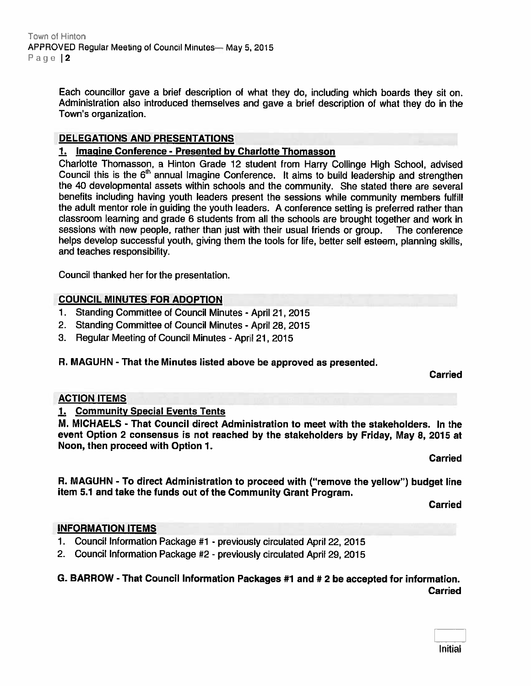Each councillor gave <sup>a</sup> brief description of what they do, including which boards they sit on. Administration also introduced themselves and gave <sup>a</sup> brief description of what they do in the Town's organization.

## DELEGATIONS AND PRESENTATIONS

## 1. Imagine Conference - Presented by Charlotte Thomasson

Charlotte Thomasson, <sup>a</sup> Hinton Grade <sup>12</sup> student from Harry Collinge High School, advised Council this is the 6" annual Imagine Conference. It aims to build leadership and strengthen the 40 developmental assets within schools and the community. She stated there are several benefits including having youth leaders presen<sup>t</sup> the sessions while community members fulfill the adult mentor role in guiding the youth leaders. <sup>A</sup> conference setting is preferred rather than classroom learning and grade <sup>6</sup> students from all the schools are brought together and work in sessions with new people, rather than just with their usual friends or group. The conference helps develop successful youth, <sup>g</sup>iving them the tools for life, better self esteem, <sup>p</sup>lanning skills, and teaches responsibility.

Council thanked her for the presentation.

## COUNCIL MINUTES FOR ADOPTION

- 1. Standing Committee of Council Minutes April 21, 2015
- 2. Standing Committee of Council Minutes April 28, 2015
- 3. Regular Meeting of Council Minutes April 21, 2015

#### R. MAGUHN - That the Minutes listed above be approved as presented.

Carried

#### ACTION ITEMS

## 1. Community Special Events Tents

M. MICHAELS -That Council direct Administration to meet with the stakeholders. In the event Option <sup>2</sup> consensus is not reached by the stakeholders by Friday, May 8, 2015 at Noon, then proceed with Option 1.

Carried

R. MAGUHN - To direct Administration to procee<sup>d</sup> with ("remove the yellow") budget line item 5.1 and take the funds out of the Community Grant Program.

Carried

#### INFORMATION ITEMS

- 1. Council Information Package #1 previously circulated April 22, 2015
- 2. Council Information Package #2 previously circulated April 29, 2015

## G. BARROW - That Council Information Packages #1 and # <sup>2</sup> be accepted for information. **Carried**